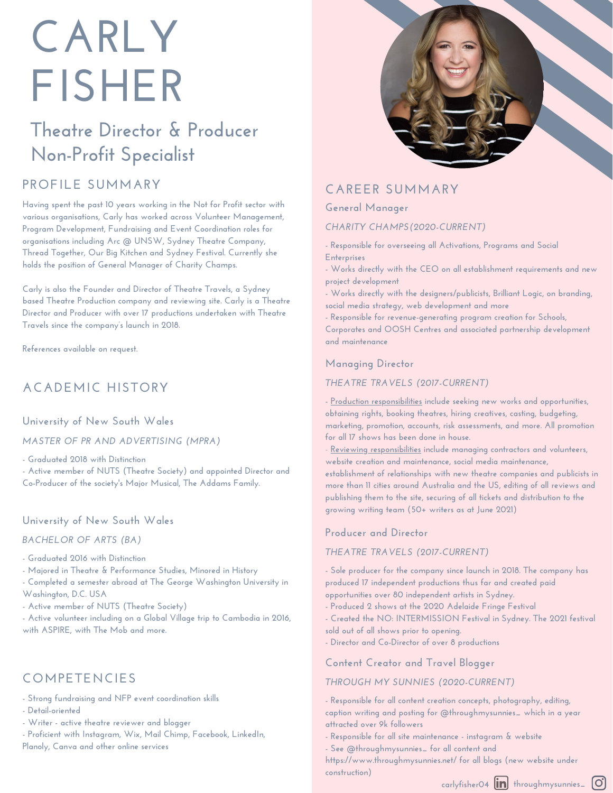# **CARLY FISHER**

## **Theatre Director & Producer Non-Profit Specialist**

## **PROFILE SUMMARY**

**Having spent the past 10 years working in the Not for Profit sector with various organisations, Carly has worked across Volunteer Management, Program Development, Fundraising and Event Coordination roles for organisations including Arc @ UNSW, Sydney Theatre Company, Thread Together, Our Big Kitchen and Sydney Festival. Currently she holds the position of General Manager of Charity Champs.**

**Carly is also the Founder and Director of Theatre Travels, a Sydney based Theatre Production company and reviewing site. Carly is a Theatre Director and Producer with over 17 productions undertaken with Theatre Travels since the company's launch in 2018.**

**References available on request.**

## **ACADEMIC HISTORY**

**University of New South Wales**

*MASTER OF PR AND ADVERTISING (MPRA)*

**- Graduated 2018 with Distinction**

**- Active member of NUTS (Theatre Society) and appointed Director and Co-Producer of the society's Major Musical, The Addams Family.**

#### **University of New South Wales**

*BACHELOR OF ARTS (BA)*

**- Graduated 2016 with Distinction**

**- Majored in Theatre & Performance Studies, Minored in History**

**- Completed a semester abroad at The George Washington University in Washington, D.C. USA**

**- Active member of NUTS (Theatre Society)**

**- Active volunteer including on a Global Village trip to Cambodia in 2016, with ASPIRE, with The Mob and more.**

## **COMPETENCIES**

**- Strong fundraising and NFP event coordination skills**

**- Detail-oriented**

**- Writer - active theatre reviewer and blogger**

**- Proficient with Instagram, Wix, Mail Chimp, Facebook, LinkedIn, Planoly, Canva and other online services**



## **CAREER SUMMARY**

**General Manager**

*CHARITY CHAMPS(2020-CURRENT)*

**- Responsible for overseeing all Activations, Programs and Social Enterprises**

**- Works directly with the CEO on all establishment requirements and new project development**

**- Works directly with the designers/publicists, Brilliant Logic, on branding, social media strategy, web development and more**

**- Responsible for revenue-generating program creation for Schools, Corporates and OOSH Centres and associated partnership development and maintenance**

#### **Managing Director**

#### *THEATRE TRAVELS (2017-CURRENT)*

**- Production responsibilities include seeking new works and opportunities, obtaining rights, booking theatres, hiring creatives, casting, budgeting, marketing, promotion, accounts, risk assessments, and more. All promotion for all 17 shows has been done in house.**

- **Reviewing responsibilities include managing contractors and volunteers, website creation and maintenance, social media maintenance,**

**establishment of relationships with new theatre companies and publicists in more than 11 cities around Australia and the US, editing of all reviews and publishing them to the site, securing of all tickets and distribution to the growing writing team (50+ writers as at June 2021)**

#### **Producer and Director**

#### *THEATRE TRAVELS (2017-CURRENT)*

**- Sole producer for the company since launch in 2018. The company has produced 17 independent productions thus far and created paid opportunities over 80 independent artists in Sydney.**

**- Produced 2 shows at the 2020 Adelaide Fringe Festival**

**- Created the NO: INTERMISSION Festival in Sydney. The 2021 festival sold out of all shows prior to opening.**

**- Director and Co-Director of over 8 productions**

**Content Creator and Travel Blogger**

#### *THROUGH MY SUNNIES (2020-CURRENT)*

**- Responsible for all content creation concepts, photography, editing, caption writing and posting for @throughmysunnies\_ which in a year attracted over 9k followers**

**- Responsible for all site maintenance - instagram & website**

**- See @throughmysunnies\_ for all content and**

**https://www.throughmysunnies.net/ for all blogs (new website under construction)**